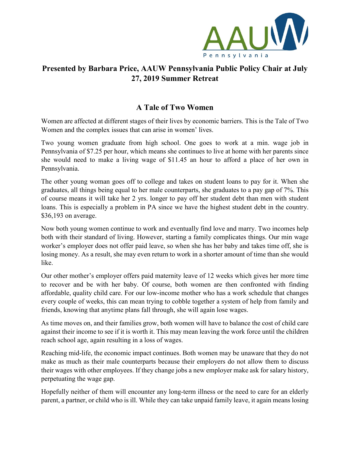

## **Presented by Barbara Price, AAUW Pennsylvania Public Policy Chair at July 27, 2019 Summer Retreat**

## **A Tale of Two Women**

Women are affected at different stages of their lives by economic barriers. This is the Tale of Two Women and the complex issues that can arise in women' lives.

Two young women graduate from high school. One goes to work at a min. wage job in Pennsylvania of \$7.25 per hour, which means she continues to live at home with her parents since she would need to make a living wage of \$11.45 an hour to afford a place of her own in Pennsylvania.

The other young woman goes off to college and takes on student loans to pay for it. When she graduates, all things being equal to her male counterparts, she graduates to a pay gap of 7%. This of course means it will take her 2 yrs. longer to pay off her student debt than men with student loans. This is especially a problem in PA since we have the highest student debt in the country. \$36,193 on average.

Now both young women continue to work and eventually find love and marry. Two incomes help both with their standard of living. However, starting a family complicates things. Our min wage worker's employer does not offer paid leave, so when she has her baby and takes time off, she is losing money. As a result, she may even return to work in a shorter amount of time than she would like.

Our other mother's employer offers paid maternity leave of 12 weeks which gives her more time to recover and be with her baby. Of course, both women are then confronted with finding affordable, quality child care. For our low-income mother who has a work schedule that changes every couple of weeks, this can mean trying to cobble together a system of help from family and friends, knowing that anytime plans fall through, she will again lose wages.

As time moves on, and their families grow, both women will have to balance the cost of child care against their income to see if it is worth it. This may mean leaving the work force until the children reach school age, again resulting in a loss of wages.

Reaching mid-life, the economic impact continues. Both women may be unaware that they do not make as much as their male counterparts because their employers do not allow them to discuss their wages with other employees. If they change jobs a new employer make ask for salary history, perpetuating the wage gap.

Hopefully neither of them will encounter any long-term illness or the need to care for an elderly parent, a partner, or child who is ill. While they can take unpaid family leave, it again means losing